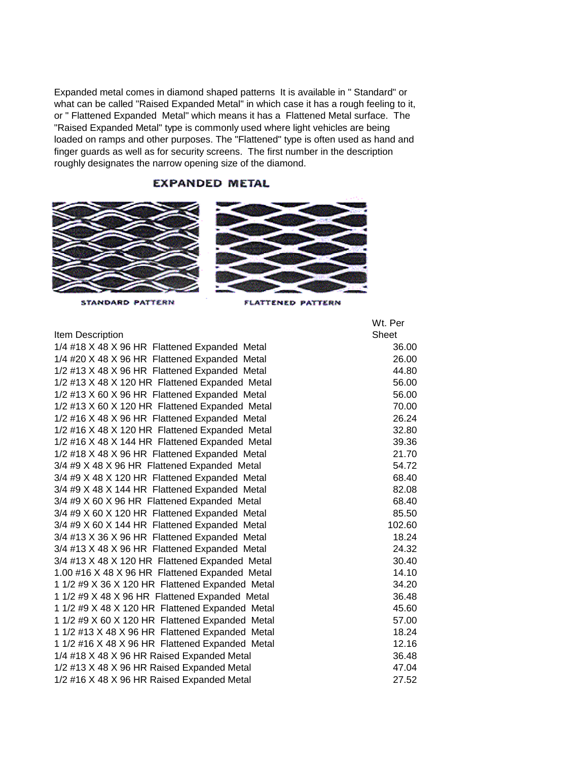Expanded metal comes in diamond shaped patterns It is available in " Standard" or what can be called "Raised Expanded Metal" in which case it has a rough feeling to it, or " Flattened Expanded Metal" which means it has a Flattened Metal surface. The "Raised Expanded Metal" type is commonly used where light vehicles are being loaded on ramps and other purposes. The "Flattened" type is often used as hand and finger guards as well as for security screens. The first number in the description roughly designates the narrow opening size of the diamond.

## **EXPANDED METAL**





STANDARD PATTERN

FLATTENED PATTERN

## Item Description

1/4 #18 X 48 X 96 HR Flattened Expanded Metal 36.00 1/4 #20 X 48 X 96 HR Flattened Expanded Metal 26.00  $1/2$  #13 X 48 X 96 HR Flattened Expanded Metal  $44.80$ 1/2 #13 X 48 X 120 HR Flattened Expanded Metal 56.00 1/2 #13 X 60 X 96 HR Flattened Expanded Metal 56.00 1/2 #13 X 60 X 120 HR Flattened Expanded Metal 70.00 1/2 #16 X 48 X 96 HR Flattened Expanded Metal 26.24 1/2 #16 X 48 X 120 HR Flattened Expanded Metal 32.80 1/2 #16 X 48 X 144 HR Flattened Expanded Metal 39.36 1/2 #18 X 48 X 96 HR Flattened Expanded Metal 21.70 3/4 #9 X 48 X 96 HR Flattened Expanded Metal 54.72 3/4 #9 X 48 X 120 HR Flattened Expanded Metal 68.40 3/4 #9 X 48 X 144 HR Flattened Expanded Metal 82.08 3/4 #9 X 60 X 96 HR Flattened Expanded Metal 68.40 3/4 #9 X 60 X 120 HR Flattened Expanded Metal 85.50 3/4 #9 X 60 X 144 HR Flattened Expanded Metal 102.60 3/4 #13 X 36 X 96 HR Flattened Expanded Metal 18.24 3/4 #13 X 48 X 96 HR Flattened Expanded Metal 24.32 3/4 #13 X 48 X 120 HR Flattened Expanded Metal 30.40 1.00 #16 X 48 X 96 HR Flattened Expanded Metal 14.10 1 1/2 #9 X 36 X 120 HR Flattened Expanded Metal 34.20 1 1/2 #9 X 48 X 96 HR Flattened Expanded Metal 36.48 1 1/2 #9 X 48 X 120 HR Flattened Expanded Metal 45.60 1 1/2 #9 X 60 X 120 HR Flattened Expanded Metal 57.00 1 1/2 #13 X 48 X 96 HR Flattened Expanded Metal 18.24 1 1/2 #16 X 48 X 96 HR Flattened Expanded Metal 12.16 1/4 #18 X 48 X 96 HR Raised Expanded Metal 36.48  $1/2$  #13 X 48 X 96 HR Raised Expanded Metal  $47.04$ 1/2 #16 X 48 X 96 HR Raised Expanded Metal 27.52

Wt. Per Sheet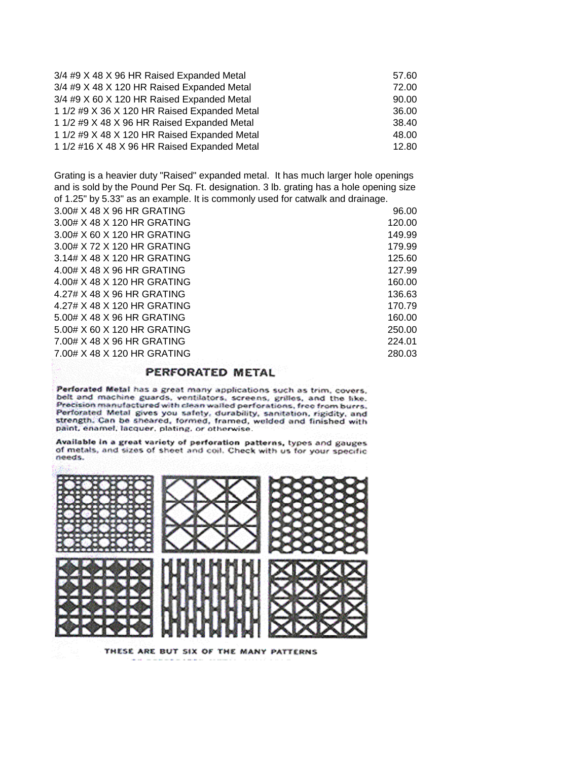| 3/4 #9 X 48 X 96 HR Raised Expanded Metal    | 57.60 |
|----------------------------------------------|-------|
| 3/4 #9 X 48 X 120 HR Raised Expanded Metal   | 72.00 |
| 3/4 #9 X 60 X 120 HR Raised Expanded Metal   | 90.00 |
| 1 1/2 #9 X 36 X 120 HR Raised Expanded Metal | 36.00 |
| 1 1/2 #9 X 48 X 96 HR Raised Expanded Metal  | 38.40 |
| 1 1/2 #9 X 48 X 120 HR Raised Expanded Metal | 48.00 |
| 1 1/2 #16 X 48 X 96 HR Raised Expanded Metal | 12.80 |

Grating is a heavier duty "Raised" expanded metal. It has much larger hole openings and is sold by the Pound Per Sq. Ft. designation. 3 lb. grating has a hole opening size of 1.25" by 5.33" as an example. It is commonly used for catwalk and drainage.

| 3.00# X 48 X 96 HR GRATING  | 96.00  |
|-----------------------------|--------|
| 3.00# X 48 X 120 HR GRATING | 120.00 |
| 3.00# X 60 X 120 HR GRATING | 149.99 |
| 3.00# X 72 X 120 HR GRATING | 179.99 |
| 3.14# X 48 X 120 HR GRATING | 125.60 |
| 4.00# X 48 X 96 HR GRATING  | 127.99 |
| 4.00# X 48 X 120 HR GRATING | 160.00 |
| 4.27# X 48 X 96 HR GRATING  | 136.63 |
| 4.27# X 48 X 120 HR GRATING | 170.79 |
| 5.00# X 48 X 96 HR GRATING  | 160.00 |
| 5.00# X 60 X 120 HR GRATING | 250.00 |
| 7.00# X 48 X 96 HR GRATING  | 224.01 |
| 7.00# X 48 X 120 HR GRATING | 280.03 |
|                             |        |

## PERFORATED METAL

Perforated Metal has a great many applications such as trim, covers, belt and machine guards, ventilators, screens, grilles, and the like. Precision manufactured with clean walled perforations, free from burrs. Perforated Metal gives you safety, durability, sanitation, rigidity, and strength. Can be sheared, formed, framed, welded and finished with paint, enamel, lacquer, plating, or otherwise.

Available in a great variety of perforation patterns, types and gauges of metals, and sizes of sheet and coil. Check with us for your specific needs.



THESE ARE BUT SIX OF THE MANY PATTERNS